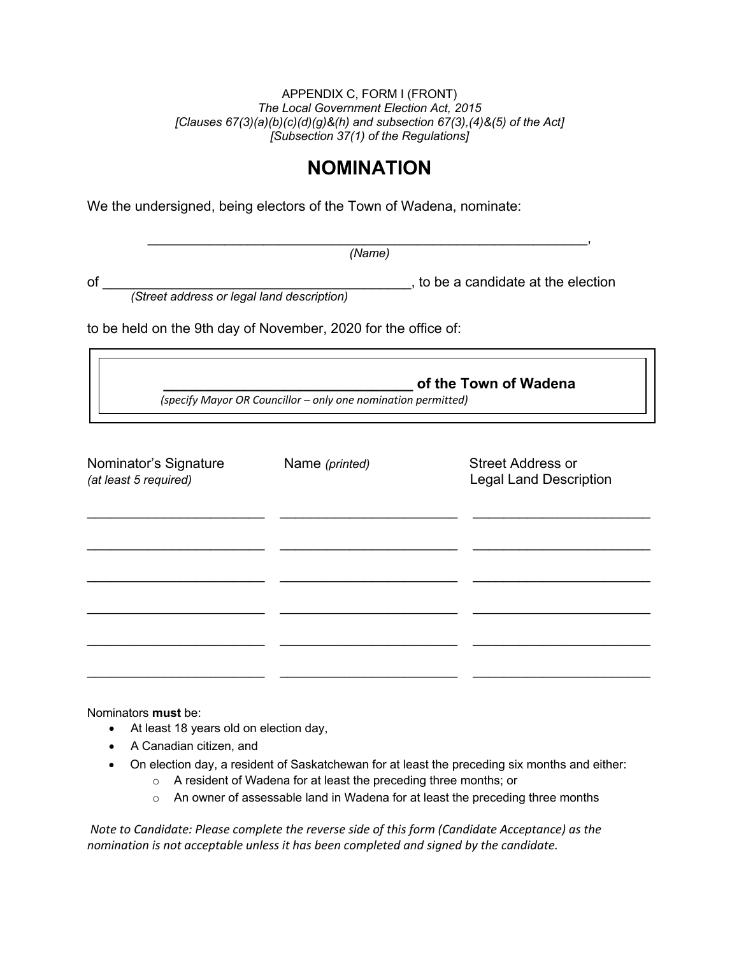## APPENDIX C, FORM I (FRONT) *The Local Government Election Act, 2015 [Clauses 67(3)(a)(b)(c)(d)(g)&(h) and subsection 67(3),(4)&(5) of the Act] [Subsection 37(1) of the Regulations]*

## **NOMINATION**

We the undersigned, being electors of the Town of Wadena, nominate:

 $\overline{\phantom{a}}$  , and the contract of the contract of the contract of the contract of the contract of the contract of the contract of the contract of the contract of the contract of the contract of the contract of the contrac *(Name)*

of \_\_\_\_\_\_\_\_\_\_\_\_\_\_\_\_\_\_\_\_\_\_\_\_\_\_\_\_\_\_\_\_\_\_\_\_\_\_\_\_, to be a candidate at the election

*(Street address or legal land description)* 

to be held on the 9th day of November, 2020 for the office of:

**\_\_\_\_\_\_\_\_\_\_\_\_\_\_\_\_\_\_\_\_\_\_\_\_\_\_\_\_\_\_\_ of the Town of Wadena**  *(specify Mayor OR Councillor – only one nomination permitted)* 

| Nominator's Signature<br>(at least 5 required) | Name (printed) | <b>Street Address or</b><br><b>Legal Land Description</b> |
|------------------------------------------------|----------------|-----------------------------------------------------------|
|                                                |                |                                                           |
|                                                |                |                                                           |
|                                                |                |                                                           |
|                                                |                |                                                           |

Nominators **must** be:

- At least 18 years old on election day,
- A Canadian citizen, and
- On election day, a resident of Saskatchewan for at least the preceding six months and either:
	- o A resident of Wadena for at least the preceding three months; or
	- o An owner of assessable land in Wadena for at least the preceding three months

*Note to Candidate: Please complete the reverse side of this form (Candidate Acceptance) as the nomination is not acceptable unless it has been completed and signed by the candidate.*